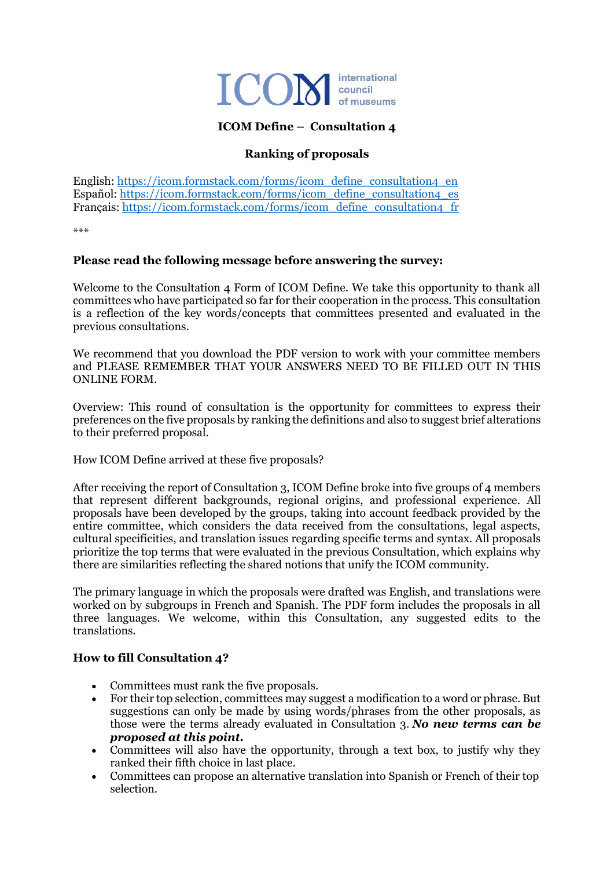

## **ICOM Define – Consultation 4**

# **Ranking of proposals**

English: [https://icom.formstack.com/forms/icom\\_define\\_consultation4\\_en](https://icom.formstack.com/forms/icom_define_consultation4_en) Español: [https://icom.formstack.com/forms/icom\\_define\\_consultation4\\_es](https://icom.formstack.com/forms/icom_define_consultation4_es) Français[: https://icom.formstack.com/forms/icom\\_define\\_consultation4\\_fr](https://icom.formstack.com/forms/icom_define_consultation4_fr)

\*\*\*

#### **Please read the following message before answering the survey:**

Welcome to the Consultation 4 Form of ICOM Define. We take this opportunity to thank all committees who have participated so far for their cooperation in the process. This consultation is a reflection of the key words/concepts that committees presented and evaluated in the previous consultations.

We recommend that you download the PDF version to work with your committee members and PLEASE REMEMBER THAT YOUR ANSWERS NEED TO BE FILLED OUT IN THIS ONLINE FORM.

Overview: This round of consultation is the opportunity for committees to express their preferences on the five proposals by ranking the definitions and also to suggest brief alterations to their preferred proposal.

How ICOM Define arrived at these five proposals?

After receiving the report of Consultation 3, ICOM Define broke into five groups of 4 members that represent different backgrounds, regional origins, and professional experience. All proposals have been developed by the groups, taking into account feedback provided by the entire committee, which considers the data received from the consultations, legal aspects, cultural specificities, and translation issues regarding specific terms and syntax. All proposals prioritize the top terms that were evaluated in the previous Consultation, which explains why there are similarities reflecting the shared notions that unify the ICOM community.

The primary language in which the proposals were drafted was English, and translations were worked on by subgroups in French and Spanish. The PDF form includes the proposals in all three languages. We welcome, within this Consultation, any suggested edits to the translations.

#### **How to fill Consultation 4?**

- Committees must rank the five proposals.
- For their top selection, committees may suggest a modification to a word or phrase. But suggestions can only be made by using words/phrases from the other proposals, as those were the terms already evaluated in Consultation 3. *No new terms can be proposed at this point.*
- Committees will also have the opportunity, through a text box, to justify why they ranked their fifth choice in last place.
- Committees can propose an alternative translation into Spanish or French of their top selection.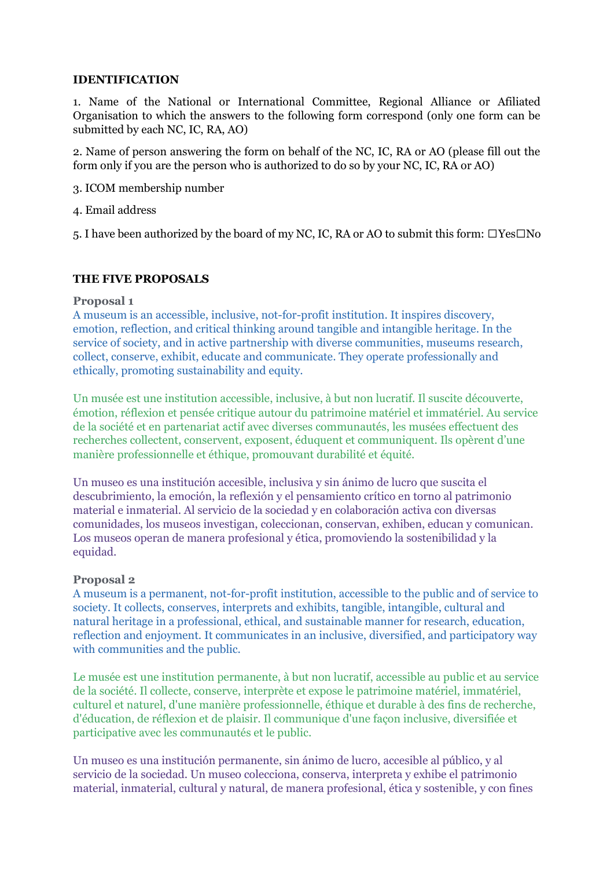## **IDENTIFICATION**

1. Name of the National or International Committee, Regional Alliance or Afiliated Organisation to which the answers to the following form correspond (only one form can be submitted by each NC, IC, RA, AO)

2. Name of person answering the form on behalf of the NC, IC, RA or AO (please fill out the form only if you are the person who is authorized to do so by your NC, IC, RA or AO)

- 3. ICOM membership number
- 4. Email address

5. I have been authorized by the board of my NC, IC, RA or AO to submit this form:  $\Box$ Yes $\Box$ No

### **THE FIVE PROPOSALS**

#### **Proposal 1**

A museum is an accessible, inclusive, not-for-profit institution. It inspires discovery, emotion, reflection, and critical thinking around tangible and intangible heritage. In the service of society, and in active partnership with diverse communities, museums research, collect, conserve, exhibit, educate and communicate. They operate professionally and ethically, promoting sustainability and equity.

Un musée est une institution accessible, inclusive, à but non lucratif. Il suscite découverte, émotion, réflexion et pensée critique autour du patrimoine matériel et immatériel. Au service de la société et en partenariat actif avec diverses communautés, les musées effectuent des recherches collectent, conservent, exposent, éduquent et communiquent. Ils opèrent d'une manière professionnelle et éthique, promouvant durabilité et équité.

Un museo es una institución accesible, inclusiva y sin ánimo de lucro que suscita el descubrimiento, la emoción, la reflexión y el pensamiento crítico en torno al patrimonio material e inmaterial. Al servicio de la sociedad y en colaboración activa con diversas comunidades, los museos investigan, coleccionan, conservan, exhiben, educan y comunican. Los museos operan de manera profesional y ética, promoviendo la sostenibilidad y la equidad.

#### **Proposal 2**

A museum is a permanent, not-for-profit institution, accessible to the public and of service to society. It collects, conserves, interprets and exhibits, tangible, intangible, cultural and natural heritage in a professional, ethical, and sustainable manner for research, education, reflection and enjoyment. It communicates in an inclusive, diversified, and participatory way with communities and the public.

Le musée est une institution permanente, à but non lucratif, accessible au public et au service de la société. Il collecte, conserve, interprète et expose le patrimoine matériel, immatériel, culturel et naturel, d'une manière professionnelle, éthique et durable à des fins de recherche, d'éducation, de réflexion et de plaisir. Il communique d'une façon inclusive, diversifiée et participative avec les communautés et le public.

Un museo es una institución permanente, sin ánimo de lucro, accesible al público, y al servicio de la sociedad. Un museo colecciona, conserva, interpreta y exhibe el patrimonio material, inmaterial, cultural y natural, de manera profesional, ética y sostenible, y con fines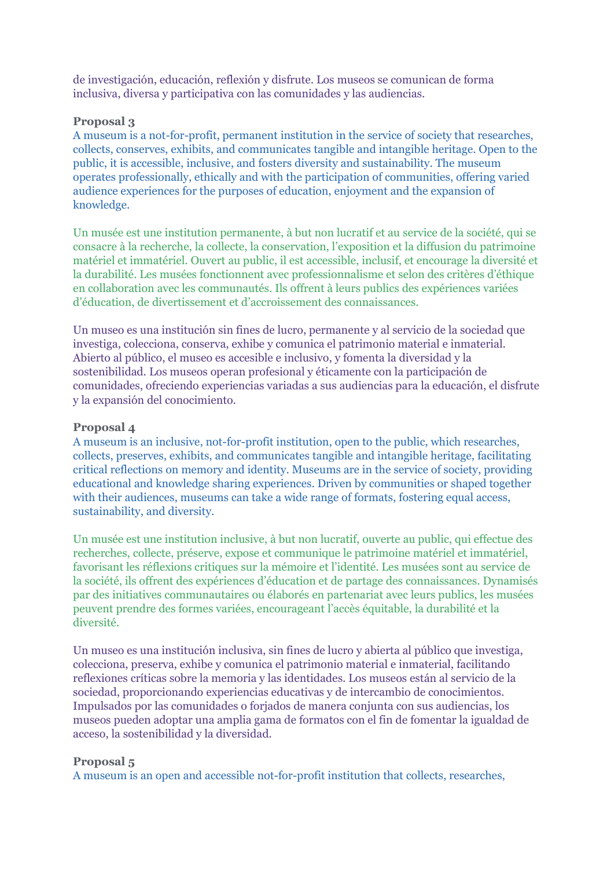de investigación, educación, reflexión y disfrute. Los museos se comunican de forma inclusiva, diversa y participativa con las comunidades y las audiencias.

## **Proposal 3**

A museum is a not-for-profit, permanent institution in the service of society that researches, collects, conserves, exhibits, and communicates tangible and intangible heritage. Open to the public, it is accessible, inclusive, and fosters diversity and sustainability. The museum operates professionally, ethically and with the participation of communities, offering varied audience experiences for the purposes of education, enjoyment and the expansion of knowledge.

Un musée est une institution permanente, à but non lucratif et au service de la société, qui se consacre à la recherche, la collecte, la conservation, l'exposition et la diffusion du patrimoine matériel et immatériel. Ouvert au public, il est accessible, inclusif, et encourage la diversité et la durabilité. Les musées fonctionnent avec professionnalisme et selon des critères d'éthique en collaboration avec les communautés. Ils offrent à leurs publics des expériences variées d'éducation, de divertissement et d'accroissement des connaissances.

Un museo es una institución sin fines de lucro, permanente y al servicio de la sociedad que investiga, colecciona, conserva, exhibe y comunica el patrimonio material e inmaterial. Abierto al público, el museo es accesible e inclusivo, y fomenta la diversidad y la sostenibilidad. Los museos operan profesional y éticamente con la participación de comunidades, ofreciendo experiencias variadas a sus audiencias para la educación, el disfrute y la expansión del conocimiento.

### **Proposal 4**

A museum is an inclusive, not-for-profit institution, open to the public, which researches, collects, preserves, exhibits, and communicates tangible and intangible heritage, facilitating critical reflections on memory and identity. Museums are in the service of society, providing educational and knowledge sharing experiences. Driven by communities or shaped together with their audiences, museums can take a wide range of formats, fostering equal access, sustainability, and diversity.

Un musée est une institution inclusive, à but non lucratif, ouverte au public, qui effectue des recherches, collecte, préserve, expose et communique le patrimoine matériel et immatériel, favorisant les réflexions critiques sur la mémoire et l'identité. Les musées sont au service de la société, ils offrent des expériences d'éducation et de partage des connaissances. Dynamisés par des initiatives communautaires ou élaborés en partenariat avec leurs publics, les musées peuvent prendre des formes variées, encourageant l'accès équitable, la durabilité et la diversité.

Un museo es una institución inclusiva, sin fines de lucro y abierta al público que investiga, colecciona, preserva, exhibe y comunica el patrimonio material e inmaterial, facilitando reflexiones críticas sobre la memoria y las identidades. Los museos están al servicio de la sociedad, proporcionando experiencias educativas y de intercambio de conocimientos. Impulsados por las comunidades o forjados de manera conjunta con sus audiencias, los museos pueden adoptar una amplia gama de formatos con el fin de fomentar la igualdad de acceso, la sostenibilidad y la diversidad.

## **Proposal 5**

A museum is an open and accessible not-for-profit institution that collects, researches,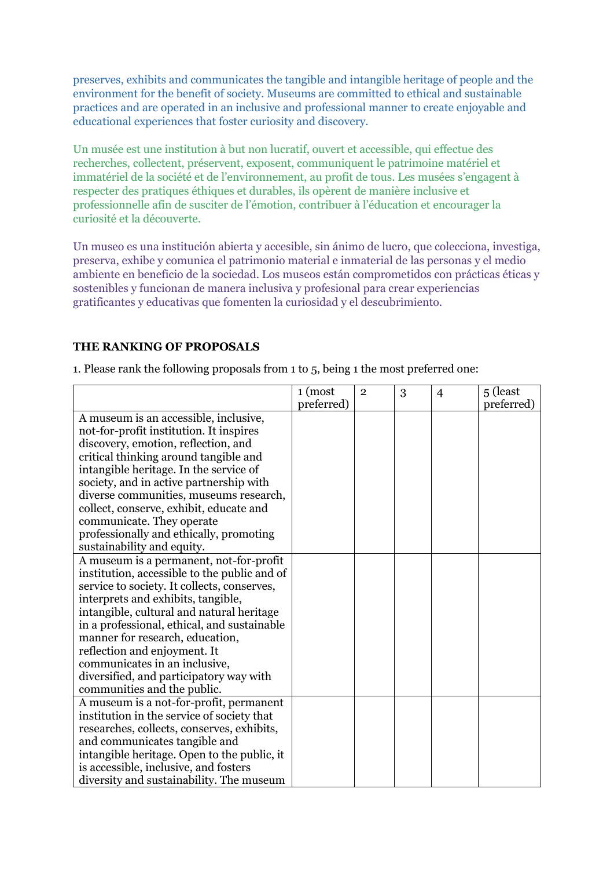preserves, exhibits and communicates the tangible and intangible heritage of people and the environment for the benefit of society. Museums are committed to ethical and sustainable practices and are operated in an inclusive and professional manner to create enjoyable and educational experiences that foster curiosity and discovery.

Un musée est une institution à but non lucratif, ouvert et accessible, qui effectue des recherches, collectent, préservent, exposent, communiquent le patrimoine matériel et immatériel de la société et de l'environnement, au profit de tous. Les musées s'engagent à respecter des pratiques éthiques et durables, ils opèrent de manière inclusive et professionnelle afin de susciter de l'émotion, contribuer à l'éducation et encourager la curiosité et la découverte.

Un museo es una institución abierta y accesible, sin ánimo de lucro, que colecciona, investiga, preserva, exhibe y comunica el patrimonio material e inmaterial de las personas y el medio ambiente en beneficio de la sociedad. Los museos están comprometidos con prácticas éticas y sostenibles y funcionan de manera inclusiva y profesional para crear experiencias gratificantes y educativas que fomenten la curiosidad y el descubrimiento.

# **THE RANKING OF PROPOSALS**

1. Please rank the following proposals from 1 to 5, being 1 the most preferred one:

|                                              | $1 \text{ (most)}$ | $\overline{2}$ | 3 | $\overline{4}$ | 5 (least   |
|----------------------------------------------|--------------------|----------------|---|----------------|------------|
|                                              | preferred)         |                |   |                | preferred) |
| A museum is an accessible, inclusive,        |                    |                |   |                |            |
| not-for-profit institution. It inspires      |                    |                |   |                |            |
| discovery, emotion, reflection, and          |                    |                |   |                |            |
| critical thinking around tangible and        |                    |                |   |                |            |
| intangible heritage. In the service of       |                    |                |   |                |            |
| society, and in active partnership with      |                    |                |   |                |            |
| diverse communities, museums research,       |                    |                |   |                |            |
| collect, conserve, exhibit, educate and      |                    |                |   |                |            |
| communicate. They operate                    |                    |                |   |                |            |
| professionally and ethically, promoting      |                    |                |   |                |            |
| sustainability and equity.                   |                    |                |   |                |            |
| A museum is a permanent, not-for-profit      |                    |                |   |                |            |
| institution, accessible to the public and of |                    |                |   |                |            |
| service to society. It collects, conserves,  |                    |                |   |                |            |
| interprets and exhibits, tangible,           |                    |                |   |                |            |
| intangible, cultural and natural heritage    |                    |                |   |                |            |
| in a professional, ethical, and sustainable  |                    |                |   |                |            |
| manner for research, education,              |                    |                |   |                |            |
| reflection and enjoyment. It                 |                    |                |   |                |            |
| communicates in an inclusive,                |                    |                |   |                |            |
| diversified, and participatory way with      |                    |                |   |                |            |
| communities and the public.                  |                    |                |   |                |            |
| A museum is a not-for-profit, permanent      |                    |                |   |                |            |
| institution in the service of society that   |                    |                |   |                |            |
| researches, collects, conserves, exhibits,   |                    |                |   |                |            |
| and communicates tangible and                |                    |                |   |                |            |
| intangible heritage. Open to the public, it  |                    |                |   |                |            |
| is accessible, inclusive, and fosters        |                    |                |   |                |            |
| diversity and sustainability. The museum     |                    |                |   |                |            |